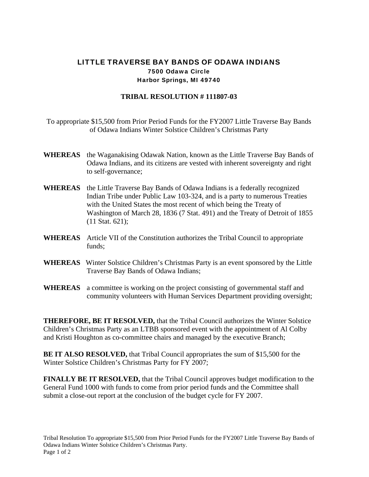## LITTLE TRAVERSE BAY BANDS OF ODAWA INDIANS 7500 Odawa Circle Harbor Springs, MI 49740

## **TRIBAL RESOLUTION # 111807-03**

To appropriate \$15,500 from Prior Period Funds for the FY2007 Little Traverse Bay Bands of Odawa Indians Winter Solstice Children's Christmas Party

- **WHEREAS** the Waganakising Odawak Nation, known as the Little Traverse Bay Bands of Odawa Indians, and its citizens are vested with inherent sovereignty and right to self-governance;
- **WHEREAS** the Little Traverse Bay Bands of Odawa Indians is a federally recognized Indian Tribe under Public Law 103-324, and is a party to numerous Treaties with the United States the most recent of which being the Treaty of Washington of March 28, 1836 (7 Stat. 491) and the Treaty of Detroit of 1855 (11 Stat. 621);
- **WHEREAS** Article VII of the Constitution authorizes the Tribal Council to appropriate funds;
- **WHEREAS** Winter Solstice Children's Christmas Party is an event sponsored by the Little Traverse Bay Bands of Odawa Indians;
- **WHEREAS** a committee is working on the project consisting of governmental staff and community volunteers with Human Services Department providing oversight;

**THEREFORE, BE IT RESOLVED,** that the Tribal Council authorizes the Winter Solstice Children's Christmas Party as an LTBB sponsored event with the appointment of Al Colby and Kristi Houghton as co-committee chairs and managed by the executive Branch;

**BE IT ALSO RESOLVED,** that Tribal Council appropriates the sum of \$15,500 for the Winter Solstice Children's Christmas Party for FY 2007;

**FINALLY BE IT RESOLVED,** that the Tribal Council approves budget modification to the General Fund 1000 with funds to come from prior period funds and the Committee shall submit a close-out report at the conclusion of the budget cycle for FY 2007.